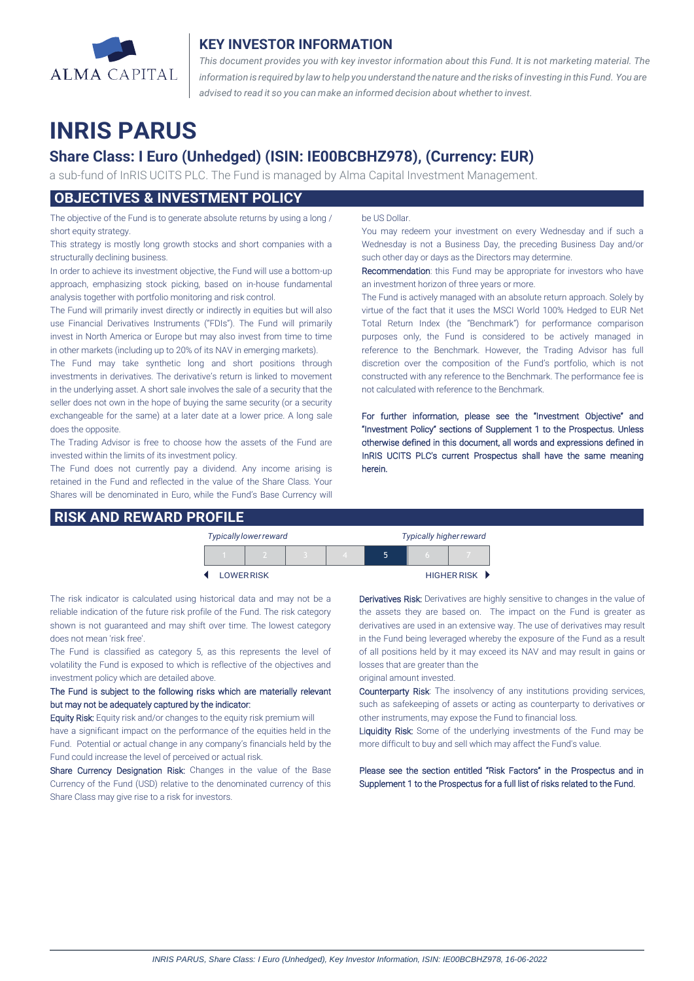

## **KEY INVESTOR INFORMATION**

*This document provides you with key investor information about this Fund. It is not marketing material. The* information is required by law to help you understand the nature and the risks of investing in this Fund. You are *advised to read it so you can make an informed decision about whether to invest.*

# **INRIS PARUS**

## **Share Class: I Euro (Unhedged) (ISIN: IE00BCBHZ978), (Currency: EUR)**

a sub-fund of InRIS UCITS PLC. The Fund is managed by Alma Capital Investment Management.

## **OBJECTIVES & INVESTMENT POLICY**

The objective of the Fund is to generate absolute returns by using a long / short equity strategy.

This strategy is mostly long growth stocks and short companies with a structurally declining business.

In order to achieve its investment objective, the Fund will use a bottom-up approach, emphasizing stock picking, based on in-house fundamental analysis together with portfolio monitoring and risk control.

The Fund will primarily invest directly or indirectly in equities but will also use Financial Derivatives Instruments ("FDIs"). The Fund will primarily invest in North America or Europe but may also invest from time to time in other markets (including up to 20% of its NAV in emerging markets).

The Fund may take synthetic long and short positions through investments in derivatives. The derivative's return is linked to movement in the underlying asset. A short sale involves the sale of a security that the seller does not own in the hope of buying the same security (or a security exchangeable for the same) at a later date at a lower price. A long sale does the opposite.

The Trading Advisor is free to choose how the assets of the Fund are invested within the limits of its investment policy.

The Fund does not currently pay a dividend. Any income arising is retained in the Fund and reflected in the value of the Share Class. Your Shares will be denominated in Euro, while the Fund's Base Currency will

### **RISK AND REWARD PROFILE**

be US Dollar.

You may redeem your investment on every Wednesday and if such a Wednesday is not a Business Day, the preceding Business Day and/or such other day or days as the Directors may determine.

Recommendation: this Fund may be appropriate for investors who have an investment horizon of three years or more.

The Fund is actively managed with an absolute return approach. Solely by virtue of the fact that it uses the MSCI World 100% Hedged to EUR Net Total Return Index (the "Benchmark") for performance comparison purposes only, the Fund is considered to be actively managed in reference to the Benchmark. However, the Trading Advisor has full discretion over the composition of the Fund's portfolio, which is not constructed with any reference to the Benchmark. The performance fee is not calculated with reference to the Benchmark.

For further information, please see the "Investment Objective" and "Investment Policy" sections of Supplement 1 to the Prospectus. Unless otherwise defined in this document, all words and expressions defined in InRIS UCITS PLC's current Prospectus shall have the same meaning herein.

| <b>Typically lower reward</b> |  |  |  |   | <b>Typically higher reward</b> |             |  |
|-------------------------------|--|--|--|---|--------------------------------|-------------|--|
|                               |  |  |  | ∽ |                                |             |  |
| <b>LOWER RISK</b>             |  |  |  |   |                                | HIGHER RISK |  |

The risk indicator is calculated using historical data and may not be a reliable indication of the future risk profile of the Fund. The risk category shown is not guaranteed and may shift over time. The lowest category does not mean 'risk free'.

The Fund is classified as category 5, as this represents the level of volatility the Fund is exposed to which is reflective of the objectives and investment policy which are detailed above.

The Fund is subject to the following risks which are materially relevant but may not be adequately captured by the indicator:

Equity Risk: Equity risk and/or changes to the equity risk premium will have a significant impact on the performance of the equities held in the Fund. Potential or actual change in any company's financials held by the Fund could increase the level of perceived or actual risk.

Share Currency Designation Risk: Changes in the value of the Base Currency of the Fund (USD) relative to the denominated currency of this Share Class may give rise to a risk for investors.

Derivatives Risk: Derivatives are highly sensitive to changes in the value of the assets they are based on. The impact on the Fund is greater as derivatives are used in an extensive way. The use of derivatives may result in the Fund being leveraged whereby the exposure of the Fund as a result of all positions held by it may exceed its NAV and may result in gains or losses that are greater than the

original amount invested.

Counterparty Risk: The insolvency of any institutions providing services, such as safekeeping of assets or acting as counterparty to derivatives or other instruments, may expose the Fund to financial loss.

Liquidity Risk: Some of the underlying investments of the Fund may be more difficult to buy and sell which may affect the Fund's value.

Please see the section entitled "Risk Factors" in the Prospectus and in Supplement 1 to the Prospectus for a full list of risks related to the Fund.